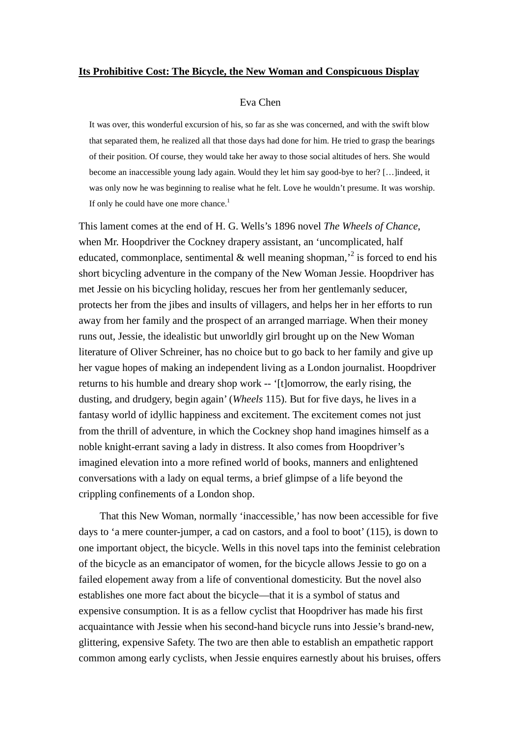#### **Its Prohibitive Cost: The Bicycle, the New Woman and Conspicuous Display**

#### Eva Chen

It was over, this wonderful excursion of his, so far as she was concerned, and with the swift blow that separated them, he realized all that those days had done for him. He tried to grasp the bearings of their position. Of course, they would take her away to those social altitudes of hers. She would become an inaccessible young lady again. Would they let him say good-bye to her? […]indeed, it was only now he was beginning to realise what he felt. Love he wouldn't presume. It was worship. If only he could have one more chance.<sup>1</sup>

This lament comes at the end of H. G. Wells's 1896 novel *The Wheels of Chance*, when Mr. Hoopdriver the Cockney drapery assistant, an 'uncomplicated, half educated, commonplace, sentimental & well meaning shopman,<sup>2</sup> is forced to end his short bicycling adventure in the company of the New Woman Jessie. Hoopdriver has met Jessie on his bicycling holiday, rescues her from her gentlemanly seducer, protects her from the jibes and insults of villagers, and helps her in her efforts to run away from her family and the prospect of an arranged marriage. When their money runs out, Jessie, the idealistic but unworldly girl brought up on the New Woman literature of Oliver Schreiner, has no choice but to go back to her family and give up her vague hopes of making an independent living as a London journalist. Hoopdriver returns to his humble and dreary shop work -- '[t]omorrow, the early rising, the dusting, and drudgery, begin again' (*Wheels* 115). But for five days, he lives in a fantasy world of idyllic happiness and excitement. The excitement comes not just from the thrill of adventure, in which the Cockney shop hand imagines himself as a noble knight-errant saving a lady in distress. It also comes from Hoopdriver's imagined elevation into a more refined world of books, manners and enlightened conversations with a lady on equal terms, a brief glimpse of a life beyond the crippling confinements of a London shop.

That this New Woman, normally 'inaccessible,' has now been accessible for five days to 'a mere counter-jumper, a cad on castors, and a fool to boot' (115), is down to one important object, the bicycle. Wells in this novel taps into the feminist celebration of the bicycle as an emancipator of women, for the bicycle allows Jessie to go on a failed elopement away from a life of conventional domesticity. But the novel also establishes one more fact about the bicycle—that it is a symbol of status and expensive consumption. It is as a fellow cyclist that Hoopdriver has made his first acquaintance with Jessie when his second-hand bicycle runs into Jessie's brand-new, glittering, expensive Safety. The two are then able to establish an empathetic rapport common among early cyclists, when Jessie enquires earnestly about his bruises, offers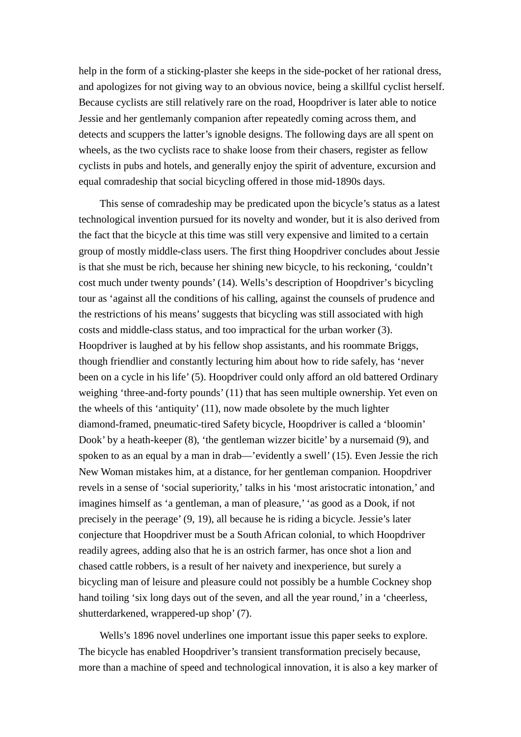help in the form of a sticking-plaster she keeps in the side-pocket of her rational dress, and apologizes for not giving way to an obvious novice, being a skillful cyclist herself. Because cyclists are still relatively rare on the road, Hoopdriver is later able to notice Jessie and her gentlemanly companion after repeatedly coming across them, and detects and scuppers the latter's ignoble designs. The following days are all spent on wheels, as the two cyclists race to shake loose from their chasers, register as fellow cyclists in pubs and hotels, and generally enjoy the spirit of adventure, excursion and equal comradeship that social bicycling offered in those mid-1890s days.

This sense of comradeship may be predicated upon the bicycle's status as a latest technological invention pursued for its novelty and wonder, but it is also derived from the fact that the bicycle at this time was still very expensive and limited to a certain group of mostly middle-class users. The first thing Hoopdriver concludes about Jessie is that she must be rich, because her shining new bicycle, to his reckoning, 'couldn't cost much under twenty pounds' (14). Wells's description of Hoopdriver's bicycling tour as 'against all the conditions of his calling, against the counsels of prudence and the restrictions of his means'suggests that bicycling was still associated with high costs and middle-class status, and too impractical for the urban worker (3). Hoopdriver is laughed at by his fellow shop assistants, and his roommate Briggs, though friendlier and constantly lecturing him about how to ride safely, has 'never been on a cycle in his life' (5). Hoopdriver could only afford an old battered Ordinary weighing 'three-and-forty pounds' (11) that has seen multiple ownership. Yet even on the wheels of this 'antiquity' (11), now made obsolete by the much lighter diamond-framed, pneumatic-tired Safety bicycle, Hoopdriver is called a 'bloomin' Dook' by a heath-keeper (8), 'the gentleman wizzer bicitle' by a nursemaid (9), and spoken to as an equal by a man in drab—'evidently a swell' (15). Even Jessie the rich New Woman mistakes him, at a distance, for her gentleman companion. Hoopdriver revels in a sense of 'social superiority,' talks in his 'most aristocratic intonation,' and imagines himself as 'a gentleman, a man of pleasure,' 'as good as a Dook, if not precisely in the peerage' (9, 19), all because he is riding a bicycle. Jessie's later conjecture that Hoopdriver must be a South African colonial, to which Hoopdriver readily agrees, adding also that he is an ostrich farmer, has once shot a lion and chased cattle robbers, is a result of her naivety and inexperience, but surely a bicycling man of leisure and pleasure could not possibly be a humble Cockney shop hand toiling 'six long days out of the seven, and all the year round,' in a 'cheerless, shutterdarkened, wrappered-up shop' (7).

Wells's 1896 novel underlines one important issue this paper seeks to explore. The bicycle has enabled Hoopdriver's transient transformation precisely because, more than a machine of speed and technological innovation, it is also a key marker of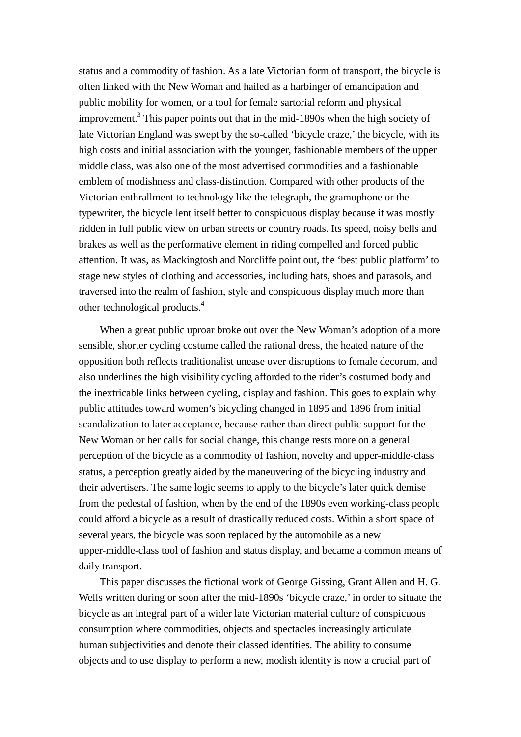status and a commodity of fashion. As a late Victorian form of transport, the bicycle is often linked with the New Woman and hailed as a harbinger of emancipation and public mobility for women, or a tool for female sartorial reform and physical improvement.3 This paper points out that in the mid-1890s when the high society of late Victorian England was swept by the so-called 'bicycle craze,' the bicycle, with its high costs and initial association with the younger, fashionable members of the upper middle class, was also one of the most advertised commodities and a fashionable emblem of modishness and class-distinction. Compared with other products of the Victorian enthrallment to technology like the telegraph, the gramophone or the typewriter, the bicycle lent itself better to conspicuous display because it was mostly ridden in full public view on urban streets or country roads. Its speed, noisy bells and brakes as well as the performative element in riding compelled and forced public attention. It was, as Mackingtosh and Norcliffe point out, the 'best public platform' to stage new styles of clothing and accessories, including hats, shoes and parasols, and traversed into the realm of fashion, style and conspicuous display much more than other technological products.<sup>4</sup>

When a great public uproar broke out over the New Woman's adoption of a more sensible, shorter cycling costume called the rational dress, the heated nature of the opposition both reflects traditionalist unease over disruptions to female decorum, and also underlines the high visibility cycling afforded to the rider's costumed body and the inextricable links between cycling, display and fashion. This goes to explain why public attitudes toward women's bicycling changed in 1895 and 1896 from initial scandalization to later acceptance, because rather than direct public support for the New Woman or her calls for social change, this change rests more on a general perception of the bicycle as a commodity of fashion, novelty and upper-middle-class status, a perception greatly aided by the maneuvering of the bicycling industry and their advertisers. The same logic seems to apply to the bicycle's later quick demise from the pedestal of fashion, when by the end of the 1890s even working-class people could afford a bicycle as a result of drastically reduced costs. Within a short space of several years, the bicycle was soon replaced by the automobile as a new upper-middle-class tool of fashion and status display, and became a common means of daily transport.

This paper discusses the fictional work of George Gissing, Grant Allen and H. G. Wells written during or soon after the mid-1890s 'bicycle craze,' in order to situate the bicycle as an integral part of a wider late Victorian material culture of conspicuous consumption where commodities, objects and spectacles increasingly articulate human subjectivities and denote their classed identities. The ability to consume objects and to use display to perform a new, modish identity is now a crucial part of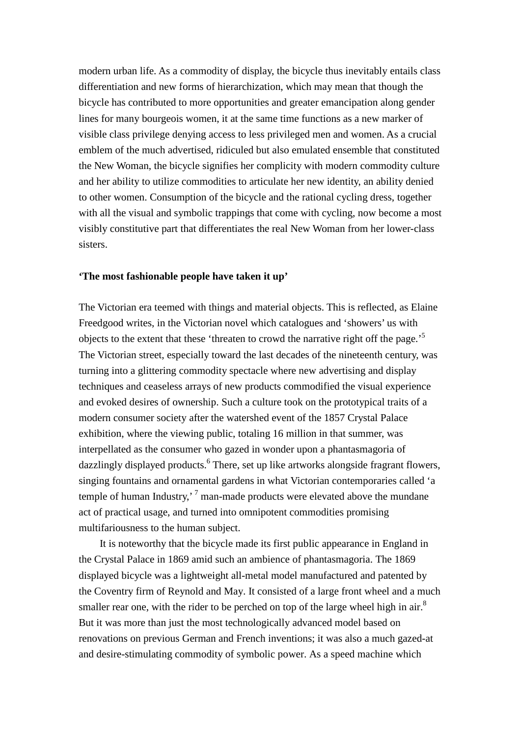modern urban life. As a commodity of display, the bicycle thus inevitably entails class differentiation and new forms of hierarchization, which may mean that though the bicycle has contributed to more opportunities and greater emancipation along gender lines for many bourgeois women, it at the same time functions as a new marker of visible class privilege denying access to less privileged men and women. As a crucial emblem of the much advertised, ridiculed but also emulated ensemble that constituted the New Woman, the bicycle signifies her complicity with modern commodity culture and her ability to utilize commodities to articulate her new identity, an ability denied to other women. Consumption of the bicycle and the rational cycling dress, together with all the visual and symbolic trappings that come with cycling, now become a most visibly constitutive part that differentiates the real New Woman from her lower-class sisters.

## **'The most fashionable people have taken it up'**

The Victorian era teemed with things and material objects. This is reflected, as Elaine Freedgood writes, in the Victorian novel which catalogues and 'showers' us with objects to the extent that these 'threaten to crowd the narrative right off the page.<sup>5</sup> The Victorian street, especially toward the last decades of the nineteenth century, was turning into a glittering commodity spectacle where new advertising and display techniques and ceaseless arrays of new products commodified the visual experience and evoked desires of ownership. Such a culture took on the prototypical traits of a modern consumer society after the watershed event of the 1857 Crystal Palace exhibition, where the viewing public, totaling 16 million in that summer, was interpellated as the consumer who gazed in wonder upon a phantasmagoria of dazzlingly displayed products.<sup>6</sup> There, set up like artworks alongside fragrant flowers, singing fountains and ornamental gardens in what Victorian contemporaries called 'a temple of human Industry,<sup> $7$ </sup> man-made products were elevated above the mundane act of practical usage, and turned into omnipotent commodities promising multifariousness to the human subject.

It is noteworthy that the bicycle made its first public appearance in England in the Crystal Palace in 1869 amid such an ambience of phantasmagoria. The 1869 displayed bicycle was a lightweight all-metal model manufactured and patented by the Coventry firm of Reynold and May. It consisted of a large front wheel and a much smaller rear one, with the rider to be perched on top of the large wheel high in  $air^8$ But it was more than just the most technologically advanced model based on renovations on previous German and French inventions; it was also a much gazed-at and desire-stimulating commodity of symbolic power. As a speed machine which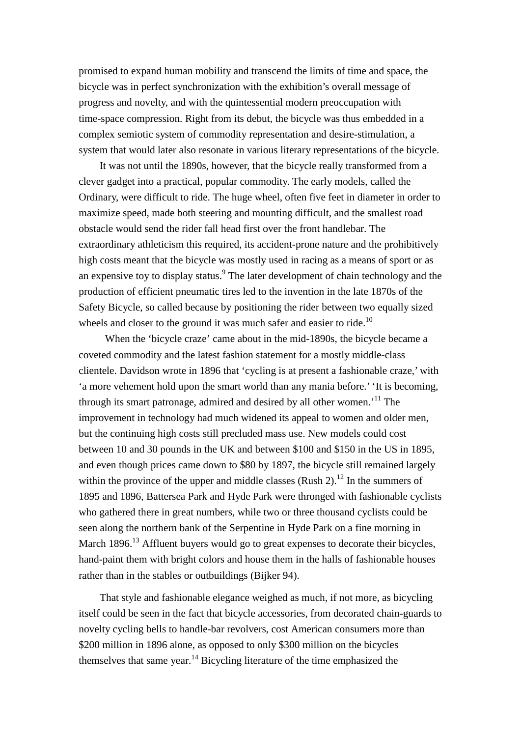promised to expand human mobility and transcend the limits of time and space, the bicycle was in perfect synchronization with the exhibition's overall message of progress and novelty, and with the quintessential modern preoccupation with time-space compression. Right from its debut, the bicycle was thus embedded in a complex semiotic system of commodity representation and desire-stimulation, a system that would later also resonate in various literary representations of the bicycle.

It was not until the 1890s, however, that the bicycle really transformed from a clever gadget into a practical, popular commodity. The early models, called the Ordinary, were difficult to ride. The huge wheel, often five feet in diameter in order to maximize speed, made both steering and mounting difficult, and the smallest road obstacle would send the rider fall head first over the front handlebar. The extraordinary athleticism this required, its accident-prone nature and the prohibitively high costs meant that the bicycle was mostly used in racing as a means of sport or as an expensive toy to display status.<sup>9</sup> The later development of chain technology and the production of efficient pneumatic tires led to the invention in the late 1870s of the Safety Bicycle, so called because by positioning the rider between two equally sized wheels and closer to the ground it was much safer and easier to ride.<sup>10</sup>

 When the 'bicycle craze' came about in the mid-1890s, the bicycle became a coveted commodity and the latest fashion statement for a mostly middle-class clientele. Davidson wrote in 1896 that 'cycling is at present a fashionable craze,' with 'a more vehement hold upon the smart world than any mania before.' 'It is becoming, through its smart patronage, admired and desired by all other women.<sup>'11</sup> The improvement in technology had much widened its appeal to women and older men, but the continuing high costs still precluded mass use. New models could cost between 10 and 30 pounds in the UK and between \$100 and \$150 in the US in 1895, and even though prices came down to \$80 by 1897, the bicycle still remained largely within the province of the upper and middle classes (Rush 2).<sup>12</sup> In the summers of 1895 and 1896, Battersea Park and Hyde Park were thronged with fashionable cyclists who gathered there in great numbers, while two or three thousand cyclists could be seen along the northern bank of the Serpentine in Hyde Park on a fine morning in March 1896.<sup>13</sup> Affluent buyers would go to great expenses to decorate their bicycles, hand-paint them with bright colors and house them in the halls of fashionable houses rather than in the stables or outbuildings (Bijker 94).

That style and fashionable elegance weighed as much, if not more, as bicycling itself could be seen in the fact that bicycle accessories, from decorated chain-guards to novelty cycling bells to handle-bar revolvers, cost American consumers more than \$200 million in 1896 alone, as opposed to only \$300 million on the bicycles themselves that same year.<sup>14</sup> Bicycling literature of the time emphasized the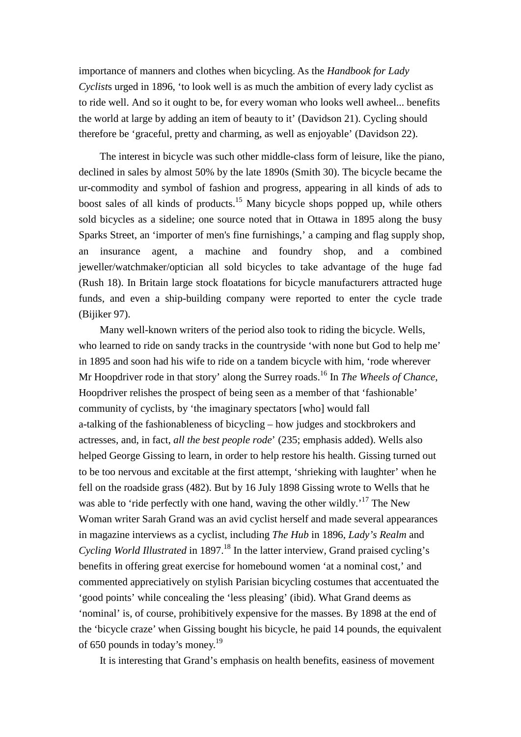importance of manners and clothes when bicycling. As the *Handbook for Lady Cyclist*s urged in 1896, 'to look well is as much the ambition of every lady cyclist as to ride well. And so it ought to be, for every woman who looks well awheel... benefits the world at large by adding an item of beauty to it' (Davidson 21). Cycling should therefore be 'graceful, pretty and charming, as well as enjoyable' (Davidson 22).

The interest in bicycle was such other middle-class form of leisure, like the piano, declined in sales by almost 50% by the late 1890s (Smith 30). The bicycle became the ur-commodity and symbol of fashion and progress, appearing in all kinds of ads to boost sales of all kinds of products.<sup>15</sup> Many bicycle shops popped up, while others sold bicycles as a sideline; one source noted that in Ottawa in 1895 along the busy Sparks Street, an 'importer of men's fine furnishings,' a camping and flag supply shop, an insurance agent, a machine and foundry shop, and a combined jeweller/watchmaker/optician all sold bicycles to take advantage of the huge fad (Rush 18). In Britain large stock floatations for bicycle manufacturers attracted huge funds, and even a ship-building company were reported to enter the cycle trade (Bijiker 97).

Many well-known writers of the period also took to riding the bicycle. Wells, who learned to ride on sandy tracks in the countryside 'with none but God to help me' in 1895 and soon had his wife to ride on a tandem bicycle with him, 'rode wherever Mr Hoopdriver rode in that story' along the Surrey roads.<sup>16</sup> In *The Wheels of Chance*, Hoopdriver relishes the prospect of being seen as a member of that 'fashionable' community of cyclists, by 'the imaginary spectators [who] would fall a-talking of the fashionableness of bicycling – how judges and stockbrokers and actresses, and, in fact, *all the best people rode*' (235; emphasis added). Wells also helped George Gissing to learn, in order to help restore his health. Gissing turned out to be too nervous and excitable at the first attempt, 'shrieking with laughter' when he fell on the roadside grass (482). But by 16 July 1898 Gissing wrote to Wells that he was able to 'ride perfectly with one hand, waving the other wildly.<sup>'17</sup> The New Woman writer Sarah Grand was an avid cyclist herself and made several appearances in magazine interviews as a cyclist, including *The Hub* in 1896, *Lady's Realm* and *Cycling World Illustrated* in 1897.<sup>18</sup> In the latter interview, Grand praised cycling's benefits in offering great exercise for homebound women 'at a nominal cost,' and commented appreciatively on stylish Parisian bicycling costumes that accentuated the 'good points' while concealing the 'less pleasing' (ibid). What Grand deems as 'nominal' is, of course, prohibitively expensive for the masses. By 1898 at the end of the 'bicycle craze' when Gissing bought his bicycle, he paid 14 pounds, the equivalent of 650 pounds in today's money.<sup>19</sup>

It is interesting that Grand's emphasis on health benefits, easiness of movement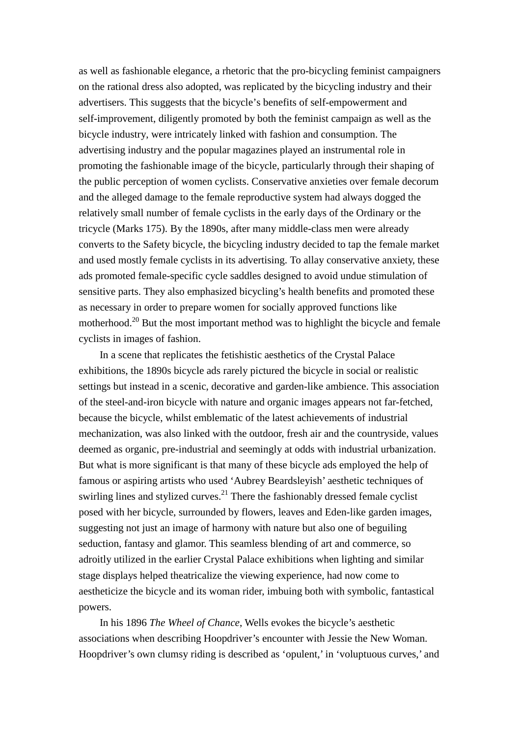as well as fashionable elegance, a rhetoric that the pro-bicycling feminist campaigners on the rational dress also adopted, was replicated by the bicycling industry and their advertisers. This suggests that the bicycle's benefits of self-empowerment and self-improvement, diligently promoted by both the feminist campaign as well as the bicycle industry, were intricately linked with fashion and consumption. The advertising industry and the popular magazines played an instrumental role in promoting the fashionable image of the bicycle, particularly through their shaping of the public perception of women cyclists. Conservative anxieties over female decorum and the alleged damage to the female reproductive system had always dogged the relatively small number of female cyclists in the early days of the Ordinary or the tricycle (Marks 175). By the 1890s, after many middle-class men were already converts to the Safety bicycle, the bicycling industry decided to tap the female market and used mostly female cyclists in its advertising. To allay conservative anxiety, these ads promoted female-specific cycle saddles designed to avoid undue stimulation of sensitive parts. They also emphasized bicycling's health benefits and promoted these as necessary in order to prepare women for socially approved functions like motherhood.<sup>20</sup> But the most important method was to highlight the bicycle and female cyclists in images of fashion.

In a scene that replicates the fetishistic aesthetics of the Crystal Palace exhibitions, the 1890s bicycle ads rarely pictured the bicycle in social or realistic settings but instead in a scenic, decorative and garden-like ambience. This association of the steel-and-iron bicycle with nature and organic images appears not far-fetched, because the bicycle, whilst emblematic of the latest achievements of industrial mechanization, was also linked with the outdoor, fresh air and the countryside, values deemed as organic, pre-industrial and seemingly at odds with industrial urbanization. But what is more significant is that many of these bicycle ads employed the help of famous or aspiring artists who used 'Aubrey Beardsleyish' aesthetic techniques of swirling lines and stylized curves.<sup>21</sup> There the fashionably dressed female cyclist posed with her bicycle, surrounded by flowers, leaves and Eden-like garden images, suggesting not just an image of harmony with nature but also one of beguiling seduction, fantasy and glamor. This seamless blending of art and commerce, so adroitly utilized in the earlier Crystal Palace exhibitions when lighting and similar stage displays helped theatricalize the viewing experience, had now come to aestheticize the bicycle and its woman rider, imbuing both with symbolic, fantastical powers.

In his 1896 *The Wheel of Chance*, Wells evokes the bicycle's aesthetic associations when describing Hoopdriver's encounter with Jessie the New Woman. Hoopdriver's own clumsy riding is described as 'opulent,' in 'voluptuous curves,' and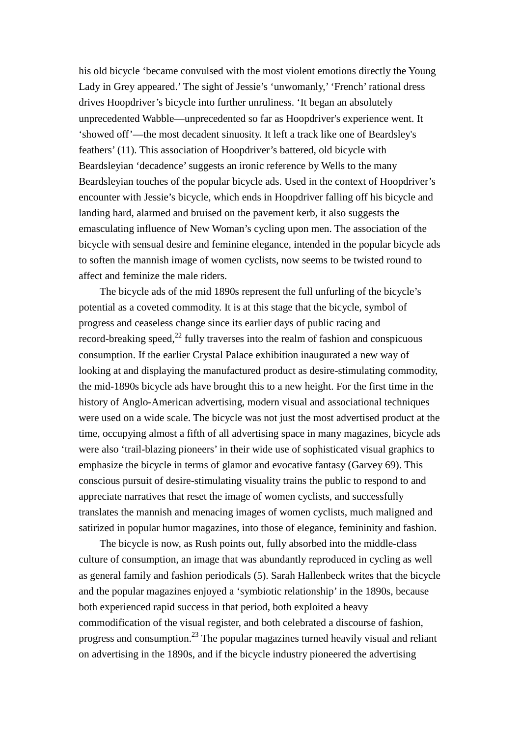his old bicycle 'became convulsed with the most violent emotions directly the Young Lady in Grey appeared.' The sight of Jessie's 'unwomanly,' 'French' rational dress drives Hoopdriver's bicycle into further unruliness. 'It began an absolutely unprecedented Wabble—unprecedented so far as Hoopdriver's experience went. It 'showed off'—the most decadent sinuosity. It left a track like one of Beardsley's feathers' (11). This association of Hoopdriver's battered, old bicycle with Beardsleyian 'decadence'suggests an ironic reference by Wells to the many Beardsleyian touches of the popular bicycle ads. Used in the context of Hoopdriver's encounter with Jessie's bicycle, which ends in Hoopdriver falling off his bicycle and landing hard, alarmed and bruised on the pavement kerb, it also suggests the emasculating influence of New Woman's cycling upon men. The association of the bicycle with sensual desire and feminine elegance, intended in the popular bicycle ads to soften the mannish image of women cyclists, now seems to be twisted round to affect and feminize the male riders.

The bicycle ads of the mid 1890s represent the full unfurling of the bicycle's potential as a coveted commodity. It is at this stage that the bicycle, symbol of progress and ceaseless change since its earlier days of public racing and record-breaking speed, $^{22}$  fully traverses into the realm of fashion and conspicuous consumption. If the earlier Crystal Palace exhibition inaugurated a new way of looking at and displaying the manufactured product as desire-stimulating commodity, the mid-1890s bicycle ads have brought this to a new height. For the first time in the history of Anglo-American advertising, modern visual and associational techniques were used on a wide scale. The bicycle was not just the most advertised product at the time, occupying almost a fifth of all advertising space in many magazines, bicycle ads were also 'trail-blazing pioneers' in their wide use of sophisticated visual graphics to emphasize the bicycle in terms of glamor and evocative fantasy (Garvey 69). This conscious pursuit of desire-stimulating visuality trains the public to respond to and appreciate narratives that reset the image of women cyclists, and successfully translates the mannish and menacing images of women cyclists, much maligned and satirized in popular humor magazines, into those of elegance, femininity and fashion.

The bicycle is now, as Rush points out, fully absorbed into the middle-class culture of consumption, an image that was abundantly reproduced in cycling as well as general family and fashion periodicals (5). Sarah Hallenbeck writes that the bicycle and the popular magazines enjoyed a 'symbiotic relationship' in the 1890s, because both experienced rapid success in that period, both exploited a heavy commodification of the visual register, and both celebrated a discourse of fashion, progress and consumption.<sup>23</sup> The popular magazines turned heavily visual and reliant on advertising in the 1890s, and if the bicycle industry pioneered the advertising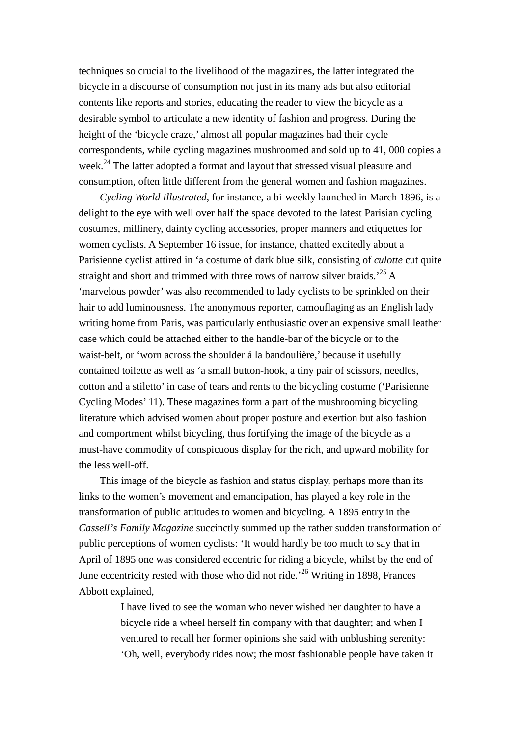techniques so crucial to the livelihood of the magazines, the latter integrated the bicycle in a discourse of consumption not just in its many ads but also editorial contents like reports and stories, educating the reader to view the bicycle as a desirable symbol to articulate a new identity of fashion and progress. During the height of the 'bicycle craze,' almost all popular magazines had their cycle correspondents, while cycling magazines mushroomed and sold up to 41, 000 copies a week.<sup>24</sup> The latter adopted a format and layout that stressed visual pleasure and consumption, often little different from the general women and fashion magazines.

*Cycling World Illustrated*, for instance, a bi-weekly launched in March 1896, is a delight to the eye with well over half the space devoted to the latest Parisian cycling costumes, millinery, dainty cycling accessories, proper manners and etiquettes for women cyclists. A September 16 issue, for instance, chatted excitedly about a Parisienne cyclist attired in 'a costume of dark blue silk, consisting of *culotte* cut quite straight and short and trimmed with three rows of narrow silver braids.<sup>25</sup> A 'marvelous powder' was also recommended to lady cyclists to be sprinkled on their hair to add luminousness. The anonymous reporter, camouflaging as an English lady writing home from Paris, was particularly enthusiastic over an expensive small leather case which could be attached either to the handle-bar of the bicycle or to the waist-belt, or 'worn across the shoulder á la bandoulière,' because it usefully contained toilette as well as 'a small button-hook, a tiny pair of scissors, needles, cotton and a stiletto' in case of tears and rents to the bicycling costume ('Parisienne Cycling Modes' 11). These magazines form a part of the mushrooming bicycling literature which advised women about proper posture and exertion but also fashion and comportment whilst bicycling, thus fortifying the image of the bicycle as a must-have commodity of conspicuous display for the rich, and upward mobility for the less well-off.

This image of the bicycle as fashion and status display, perhaps more than its links to the women's movement and emancipation, has played a key role in the transformation of public attitudes to women and bicycling. A 1895 entry in the *Cassell's Family Magazine* succinctly summed up the rather sudden transformation of public perceptions of women cyclists: 'It would hardly be too much to say that in April of 1895 one was considered eccentric for riding a bicycle, whilst by the end of June eccentricity rested with those who did not ride.<sup>26</sup> Writing in 1898, Frances Abbott explained,

> I have lived to see the woman who never wished her daughter to have a bicycle ride a wheel herself fin company with that daughter; and when I ventured to recall her former opinions she said with unblushing serenity: 'Oh, well, everybody rides now; the most fashionable people have taken it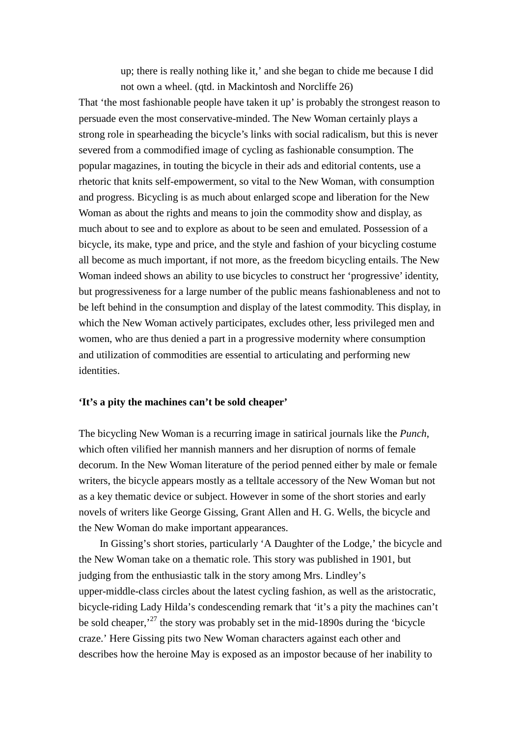up; there is really nothing like it,' and she began to chide me because I did not own a wheel. (qtd. in Mackintosh and Norcliffe 26)

That 'the most fashionable people have taken it up' is probably the strongest reason to persuade even the most conservative-minded. The New Woman certainly plays a strong role in spearheading the bicycle's links with social radicalism, but this is never severed from a commodified image of cycling as fashionable consumption. The popular magazines, in touting the bicycle in their ads and editorial contents, use a rhetoric that knits self-empowerment, so vital to the New Woman, with consumption and progress. Bicycling is as much about enlarged scope and liberation for the New Woman as about the rights and means to join the commodity show and display, as much about to see and to explore as about to be seen and emulated. Possession of a bicycle, its make, type and price, and the style and fashion of your bicycling costume all become as much important, if not more, as the freedom bicycling entails. The New Woman indeed shows an ability to use bicycles to construct her 'progressive' identity, but progressiveness for a large number of the public means fashionableness and not to be left behind in the consumption and display of the latest commodity. This display, in which the New Woman actively participates, excludes other, less privileged men and women, who are thus denied a part in a progressive modernity where consumption and utilization of commodities are essential to articulating and performing new identities.

### **'It's a pity the machines can't be sold cheaper'**

The bicycling New Woman is a recurring image in satirical journals like the *Punch*, which often vilified her mannish manners and her disruption of norms of female decorum. In the New Woman literature of the period penned either by male or female writers, the bicycle appears mostly as a telltale accessory of the New Woman but not as a key thematic device or subject. However in some of the short stories and early novels of writers like George Gissing, Grant Allen and H. G. Wells, the bicycle and the New Woman do make important appearances.

In Gissing's short stories, particularly 'A Daughter of the Lodge,' the bicycle and the New Woman take on a thematic role. This story was published in 1901, but judging from the enthusiastic talk in the story among Mrs. Lindley's upper-middle-class circles about the latest cycling fashion, as well as the aristocratic, bicycle-riding Lady Hilda's condescending remark that 'it's a pity the machines can't be sold cheaper,<sup> $27$ </sup> the story was probably set in the mid-1890s during the 'bicycle craze.' Here Gissing pits two New Woman characters against each other and describes how the heroine May is exposed as an impostor because of her inability to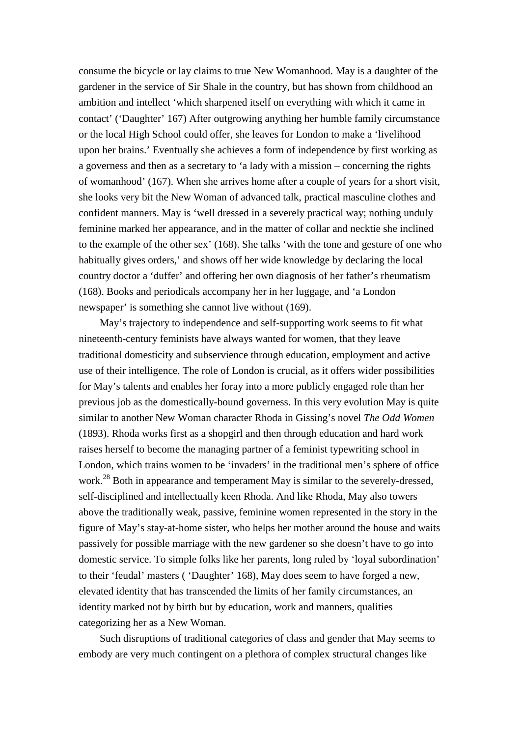consume the bicycle or lay claims to true New Womanhood. May is a daughter of the gardener in the service of Sir Shale in the country, but has shown from childhood an ambition and intellect 'which sharpened itself on everything with which it came in contact' ('Daughter' 167) After outgrowing anything her humble family circumstance or the local High School could offer, she leaves for London to make a 'livelihood upon her brains.' Eventually she achieves a form of independence by first working as a governess and then as a secretary to 'a lady with a mission – concerning the rights of womanhood' (167). When she arrives home after a couple of years for a short visit, she looks very bit the New Woman of advanced talk, practical masculine clothes and confident manners. May is 'well dressed in a severely practical way; nothing unduly feminine marked her appearance, and in the matter of collar and necktie she inclined to the example of the other sex' (168). She talks 'with the tone and gesture of one who habitually gives orders,' and shows off her wide knowledge by declaring the local country doctor a 'duffer' and offering her own diagnosis of her father's rheumatism (168). Books and periodicals accompany her in her luggage, and 'a London newspaper' is something she cannot live without (169).

May's trajectory to independence and self-supporting work seems to fit what nineteenth-century feminists have always wanted for women, that they leave traditional domesticity and subservience through education, employment and active use of their intelligence. The role of London is crucial, as it offers wider possibilities for May's talents and enables her foray into a more publicly engaged role than her previous job as the domestically-bound governess. In this very evolution May is quite similar to another New Woman character Rhoda in Gissing's novel *The Odd Women* (1893). Rhoda works first as a shopgirl and then through education and hard work raises herself to become the managing partner of a feminist typewriting school in London, which trains women to be 'invaders' in the traditional men's sphere of office work.<sup>28</sup> Both in appearance and temperament May is similar to the severely-dressed, self-disciplined and intellectually keen Rhoda. And like Rhoda, May also towers above the traditionally weak, passive, feminine women represented in the story in the figure of May's stay-at-home sister, who helps her mother around the house and waits passively for possible marriage with the new gardener so she doesn't have to go into domestic service. To simple folks like her parents, long ruled by 'loyal subordination' to their 'feudal' masters ( 'Daughter' 168), May does seem to have forged a new, elevated identity that has transcended the limits of her family circumstances, an identity marked not by birth but by education, work and manners, qualities categorizing her as a New Woman.

Such disruptions of traditional categories of class and gender that May seems to embody are very much contingent on a plethora of complex structural changes like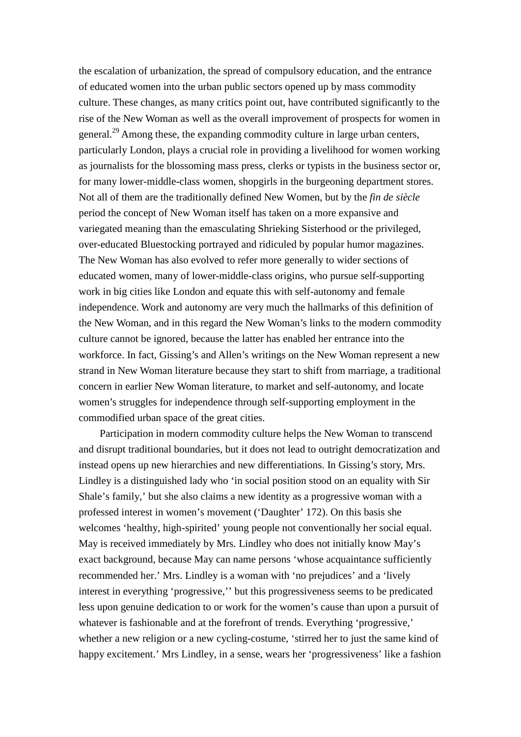the escalation of urbanization, the spread of compulsory education, and the entrance of educated women into the urban public sectors opened up by mass commodity culture. These changes, as many critics point out, have contributed significantly to the rise of the New Woman as well as the overall improvement of prospects for women in general.<sup>29</sup> Among these, the expanding commodity culture in large urban centers, particularly London, plays a crucial role in providing a livelihood for women working as journalists for the blossoming mass press, clerks or typists in the business sector or, for many lower-middle-class women, shopgirls in the burgeoning department stores. Not all of them are the traditionally defined New Women, but by the *fin de siècle* period the concept of New Woman itself has taken on a more expansive and variegated meaning than the emasculating Shrieking Sisterhood or the privileged, over-educated Bluestocking portrayed and ridiculed by popular humor magazines. The New Woman has also evolved to refer more generally to wider sections of educated women, many of lower-middle-class origins, who pursue self-supporting work in big cities like London and equate this with self-autonomy and female independence. Work and autonomy are very much the hallmarks of this definition of the New Woman, and in this regard the New Woman's links to the modern commodity culture cannot be ignored, because the latter has enabled her entrance into the workforce. In fact, Gissing's and Allen's writings on the New Woman represent a new strand in New Woman literature because they start to shift from marriage, a traditional concern in earlier New Woman literature, to market and self-autonomy, and locate women's struggles for independence through self-supporting employment in the commodified urban space of the great cities.

Participation in modern commodity culture helps the New Woman to transcend and disrupt traditional boundaries, but it does not lead to outright democratization and instead opens up new hierarchies and new differentiations. In Gissing's story, Mrs. Lindley is a distinguished lady who 'in social position stood on an equality with Sir Shale's family,' but she also claims a new identity as a progressive woman with a professed interest in women's movement ('Daughter' 172). On this basis she welcomes 'healthy, high-spirited' young people not conventionally her social equal. May is received immediately by Mrs. Lindley who does not initially know May's exact background, because May can name persons 'whose acquaintance sufficiently recommended her.' Mrs. Lindley is a woman with 'no prejudices' and a 'lively interest in everything 'progressive,'' but this progressiveness seems to be predicated less upon genuine dedication to or work for the women's cause than upon a pursuit of whatever is fashionable and at the forefront of trends. Everything 'progressive,' whether a new religion or a new cycling-costume, 'stirred her to just the same kind of happy excitement.' Mrs Lindley, in a sense, wears her 'progressiveness' like a fashion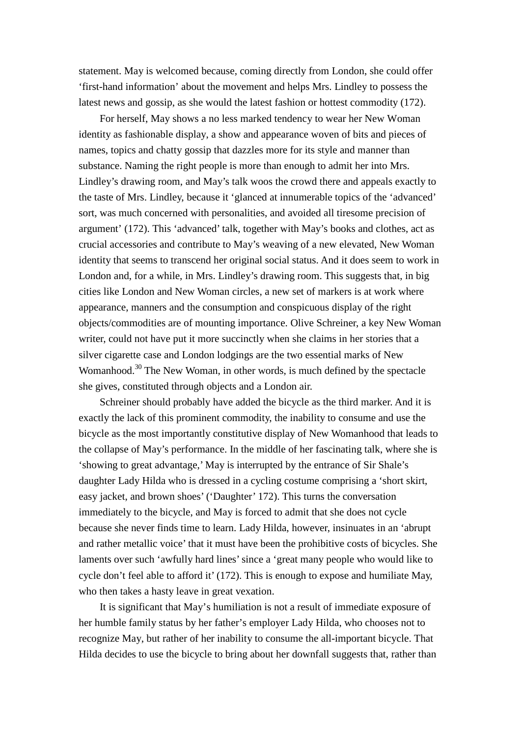statement. May is welcomed because, coming directly from London, she could offer 'first-hand information' about the movement and helps Mrs. Lindley to possess the latest news and gossip, as she would the latest fashion or hottest commodity (172).

For herself, May shows a no less marked tendency to wear her New Woman identity as fashionable display, a show and appearance woven of bits and pieces of names, topics and chatty gossip that dazzles more for its style and manner than substance. Naming the right people is more than enough to admit her into Mrs. Lindley's drawing room, and May's talk woos the crowd there and appeals exactly to the taste of Mrs. Lindley, because it 'glanced at innumerable topics of the 'advanced' sort, was much concerned with personalities, and avoided all tiresome precision of argument' (172). This 'advanced' talk, together with May's books and clothes, act as crucial accessories and contribute to May's weaving of a new elevated, New Woman identity that seems to transcend her original social status. And it does seem to work in London and, for a while, in Mrs. Lindley's drawing room. This suggests that, in big cities like London and New Woman circles, a new set of markers is at work where appearance, manners and the consumption and conspicuous display of the right objects/commodities are of mounting importance. Olive Schreiner, a key New Woman writer, could not have put it more succinctly when she claims in her stories that a silver cigarette case and London lodgings are the two essential marks of New Womanhood.<sup>30</sup> The New Woman, in other words, is much defined by the spectacle she gives, constituted through objects and a London air.

Schreiner should probably have added the bicycle as the third marker. And it is exactly the lack of this prominent commodity, the inability to consume and use the bicycle as the most importantly constitutive display of New Womanhood that leads to the collapse of May's performance. In the middle of her fascinating talk, where she is 'showing to great advantage,' May is interrupted by the entrance of Sir Shale's daughter Lady Hilda who is dressed in a cycling costume comprising a 'short skirt, easy jacket, and brown shoes' ('Daughter' 172). This turns the conversation immediately to the bicycle, and May is forced to admit that she does not cycle because she never finds time to learn. Lady Hilda, however, insinuates in an 'abrupt and rather metallic voice' that it must have been the prohibitive costs of bicycles. She laments over such 'awfully hard lines' since a 'great many people who would like to cycle don't feel able to afford it' (172). This is enough to expose and humiliate May, who then takes a hasty leave in great vexation.

It is significant that May's humiliation is not a result of immediate exposure of her humble family status by her father's employer Lady Hilda, who chooses not to recognize May, but rather of her inability to consume the all-important bicycle. That Hilda decides to use the bicycle to bring about her downfall suggests that, rather than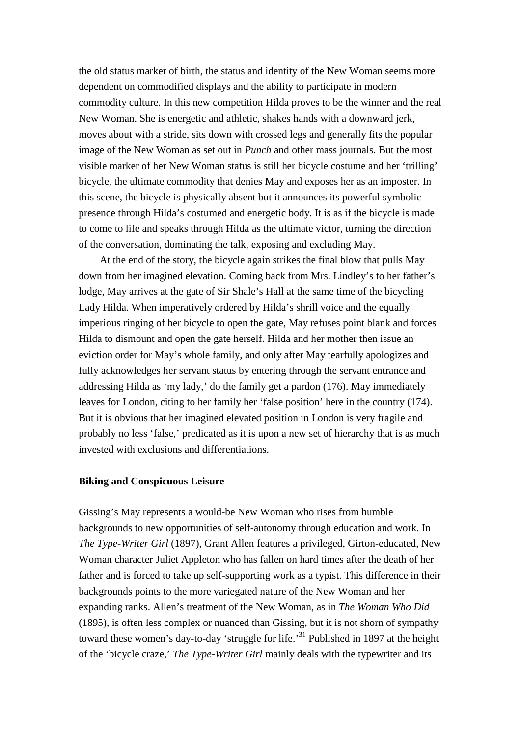the old status marker of birth, the status and identity of the New Woman seems more dependent on commodified displays and the ability to participate in modern commodity culture. In this new competition Hilda proves to be the winner and the real New Woman. She is energetic and athletic, shakes hands with a downward jerk, moves about with a stride, sits down with crossed legs and generally fits the popular image of the New Woman as set out in *Punch* and other mass journals. But the most visible marker of her New Woman status is still her bicycle costume and her 'trilling' bicycle, the ultimate commodity that denies May and exposes her as an imposter. In this scene, the bicycle is physically absent but it announces its powerful symbolic presence through Hilda's costumed and energetic body. It is as if the bicycle is made to come to life and speaks through Hilda as the ultimate victor, turning the direction of the conversation, dominating the talk, exposing and excluding May.

At the end of the story, the bicycle again strikes the final blow that pulls May down from her imagined elevation. Coming back from Mrs. Lindley's to her father's lodge, May arrives at the gate of Sir Shale's Hall at the same time of the bicycling Lady Hilda. When imperatively ordered by Hilda's shrill voice and the equally imperious ringing of her bicycle to open the gate, May refuses point blank and forces Hilda to dismount and open the gate herself. Hilda and her mother then issue an eviction order for May's whole family, and only after May tearfully apologizes and fully acknowledges her servant status by entering through the servant entrance and addressing Hilda as 'my lady,' do the family get a pardon (176). May immediately leaves for London, citing to her family her 'false position' here in the country (174). But it is obvious that her imagined elevated position in London is very fragile and probably no less 'false,' predicated as it is upon a new set of hierarchy that is as much invested with exclusions and differentiations.

### **Biking and Conspicuous Leisure**

Gissing's May represents a would-be New Woman who rises from humble backgrounds to new opportunities of self-autonomy through education and work. In *The Type-Writer Girl* (1897), Grant Allen features a privileged, Girton-educated, New Woman character Juliet Appleton who has fallen on hard times after the death of her father and is forced to take up self-supporting work as a typist. This difference in their backgrounds points to the more variegated nature of the New Woman and her expanding ranks. Allen's treatment of the New Woman, as in *The Woman Who Did* (1895), is often less complex or nuanced than Gissing, but it is not shorn of sympathy toward these women's day-to-day 'struggle for life.<sup>31</sup> Published in 1897 at the height of the 'bicycle craze,' *The Type-Writer Girl* mainly deals with the typewriter and its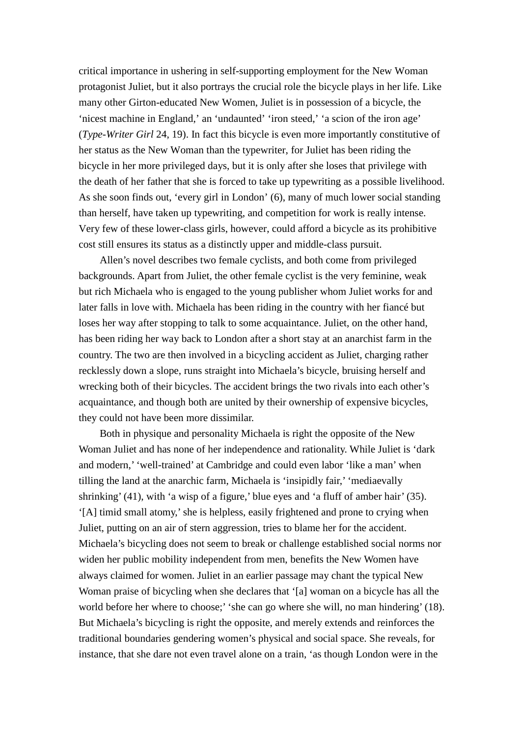critical importance in ushering in self-supporting employment for the New Woman protagonist Juliet, but it also portrays the crucial role the bicycle plays in her life. Like many other Girton-educated New Women, Juliet is in possession of a bicycle, the 'nicest machine in England,' an 'undaunted' 'iron steed,' 'a scion of the iron age' (*Type-Writer Girl* 24, 19). In fact this bicycle is even more importantly constitutive of her status as the New Woman than the typewriter, for Juliet has been riding the bicycle in her more privileged days, but it is only after she loses that privilege with the death of her father that she is forced to take up typewriting as a possible livelihood. As she soon finds out, 'every girl in London' (6), many of much lower social standing than herself, have taken up typewriting, and competition for work is really intense. Very few of these lower-class girls, however, could afford a bicycle as its prohibitive cost still ensures its status as a distinctly upper and middle-class pursuit.

Allen's novel describes two female cyclists, and both come from privileged backgrounds. Apart from Juliet, the other female cyclist is the very feminine, weak but rich Michaela who is engaged to the young publisher whom Juliet works for and later falls in love with. Michaela has been riding in the country with her fiancé but loses her way after stopping to talk to some acquaintance. Juliet, on the other hand, has been riding her way back to London after a short stay at an anarchist farm in the country. The two are then involved in a bicycling accident as Juliet, charging rather recklessly down a slope, runs straight into Michaela's bicycle, bruising herself and wrecking both of their bicycles. The accident brings the two rivals into each other's acquaintance, and though both are united by their ownership of expensive bicycles, they could not have been more dissimilar.

Both in physique and personality Michaela is right the opposite of the New Woman Juliet and has none of her independence and rationality. While Juliet is 'dark and modern,' 'well-trained' at Cambridge and could even labor 'like a man' when tilling the land at the anarchic farm, Michaela is 'insipidly fair,' 'mediaevally shrinking' (41), with 'a wisp of a figure,' blue eyes and 'a fluff of amber hair' (35). '[A] timid small atomy,'she is helpless, easily frightened and prone to crying when Juliet, putting on an air of stern aggression, tries to blame her for the accident. Michaela's bicycling does not seem to break or challenge established social norms nor widen her public mobility independent from men, benefits the New Women have always claimed for women. Juliet in an earlier passage may chant the typical New Woman praise of bicycling when she declares that '[a] woman on a bicycle has all the world before her where to choose;' 'she can go where she will, no man hindering' (18). But Michaela's bicycling is right the opposite, and merely extends and reinforces the traditional boundaries gendering women's physical and social space. She reveals, for instance, that she dare not even travel alone on a train, 'as though London were in the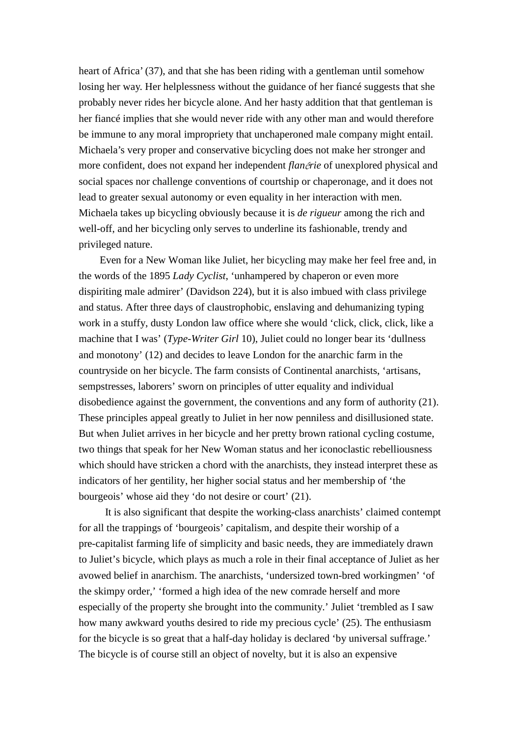heart of Africa' (37), and that she has been riding with a gentleman until somehow losing her way. Her helplessness without the guidance of her fiancé suggests that she probably never rides her bicycle alone. And her hasty addition that that gentleman is her fiancé implies that she would never ride with any other man and would therefore be immune to any moral impropriety that unchaperoned male company might entail. Michaela's very proper and conservative bicycling does not make her stronger and more confident, does not expand her independent *flan*é*rie* of unexplored physical and social spaces nor challenge conventions of courtship or chaperonage, and it does not lead to greater sexual autonomy or even equality in her interaction with men. Michaela takes up bicycling obviously because it is *de rigueur* among the rich and well-off, and her bicycling only serves to underline its fashionable, trendy and privileged nature.

Even for a New Woman like Juliet, her bicycling may make her feel free and, in the words of the 1895 *Lady Cyclist*, 'unhampered by chaperon or even more dispiriting male admirer' (Davidson 224), but it is also imbued with class privilege and status. After three days of claustrophobic, enslaving and dehumanizing typing work in a stuffy, dusty London law office where she would 'click, click, click, like a machine that I was' (*Type-Writer Girl* 10), Juliet could no longer bear its 'dullness and monotony' (12) and decides to leave London for the anarchic farm in the countryside on her bicycle. The farm consists of Continental anarchists, 'artisans, sempstresses, laborers' sworn on principles of utter equality and individual disobedience against the government, the conventions and any form of authority (21). These principles appeal greatly to Juliet in her now penniless and disillusioned state. But when Juliet arrives in her bicycle and her pretty brown rational cycling costume, two things that speak for her New Woman status and her iconoclastic rebelliousness which should have stricken a chord with the anarchists, they instead interpret these as indicators of her gentility, her higher social status and her membership of 'the bourgeois' whose aid they 'do not desire or court' (21).

It is also significant that despite the working-class anarchists' claimed contempt for all the trappings of 'bourgeois' capitalism, and despite their worship of a pre-capitalist farming life of simplicity and basic needs, they are immediately drawn to Juliet's bicycle, which plays as much a role in their final acceptance of Juliet as her avowed belief in anarchism. The anarchists, 'undersized town-bred workingmen' 'of the skimpy order,' 'formed a high idea of the new comrade herself and more especially of the property she brought into the community.' Juliet 'trembled as I saw how many awkward youths desired to ride my precious cycle' (25). The enthusiasm for the bicycle is so great that a half-day holiday is declared 'by universal suffrage.' The bicycle is of course still an object of novelty, but it is also an expensive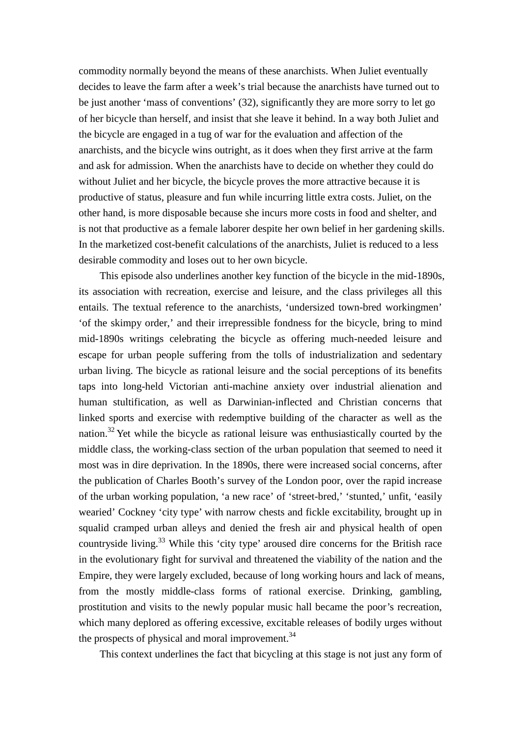commodity normally beyond the means of these anarchists. When Juliet eventually decides to leave the farm after a week's trial because the anarchists have turned out to be just another 'mass of conventions' (32), significantly they are more sorry to let go of her bicycle than herself, and insist that she leave it behind. In a way both Juliet and the bicycle are engaged in a tug of war for the evaluation and affection of the anarchists, and the bicycle wins outright, as it does when they first arrive at the farm and ask for admission. When the anarchists have to decide on whether they could do without Juliet and her bicycle, the bicycle proves the more attractive because it is productive of status, pleasure and fun while incurring little extra costs. Juliet, on the other hand, is more disposable because she incurs more costs in food and shelter, and is not that productive as a female laborer despite her own belief in her gardening skills. In the marketized cost-benefit calculations of the anarchists, Juliet is reduced to a less desirable commodity and loses out to her own bicycle.

This episode also underlines another key function of the bicycle in the mid-1890s, its association with recreation, exercise and leisure, and the class privileges all this entails. The textual reference to the anarchists, 'undersized town-bred workingmen' 'of the skimpy order,' and their irrepressible fondness for the bicycle, bring to mind mid-1890s writings celebrating the bicycle as offering much-needed leisure and escape for urban people suffering from the tolls of industrialization and sedentary urban living. The bicycle as rational leisure and the social perceptions of its benefits taps into long-held Victorian anti-machine anxiety over industrial alienation and human stultification, as well as Darwinian-inflected and Christian concerns that linked sports and exercise with redemptive building of the character as well as the nation.<sup>32</sup> Yet while the bicycle as rational leisure was enthusiastically courted by the middle class, the working-class section of the urban population that seemed to need it most was in dire deprivation. In the 1890s, there were increased social concerns, after the publication of Charles Booth's survey of the London poor, over the rapid increase of the urban working population, 'a new race' of 'street-bred,' 'stunted,' unfit, 'easily wearied' Cockney 'city type' with narrow chests and fickle excitability, brought up in squalid cramped urban alleys and denied the fresh air and physical health of open countryside living.<sup>33</sup> While this 'city type' aroused dire concerns for the British race in the evolutionary fight for survival and threatened the viability of the nation and the Empire, they were largely excluded, because of long working hours and lack of means, from the mostly middle-class forms of rational exercise. Drinking, gambling, prostitution and visits to the newly popular music hall became the poor's recreation, which many deplored as offering excessive, excitable releases of bodily urges without the prospects of physical and moral improvement. $34$ 

This context underlines the fact that bicycling at this stage is not just any form of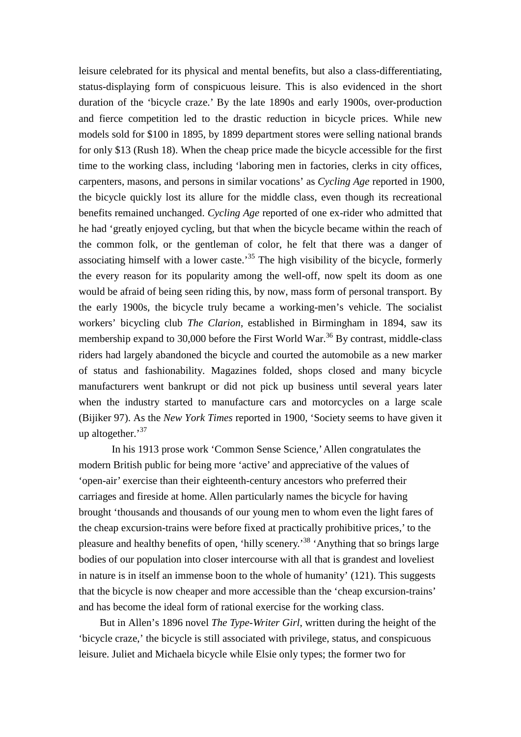leisure celebrated for its physical and mental benefits, but also a class-differentiating, status-displaying form of conspicuous leisure. This is also evidenced in the short duration of the 'bicycle craze.' By the late 1890s and early 1900s, over-production and fierce competition led to the drastic reduction in bicycle prices. While new models sold for \$100 in 1895, by 1899 department stores were selling national brands for only \$13 (Rush 18). When the cheap price made the bicycle accessible for the first time to the working class, including 'laboring men in factories, clerks in city offices, carpenters, masons, and persons in similar vocations' as *Cycling Age* reported in 1900, the bicycle quickly lost its allure for the middle class, even though its recreational benefits remained unchanged. *Cycling Age* reported of one ex-rider who admitted that he had 'greatly enjoyed cycling, but that when the bicycle became within the reach of the common folk, or the gentleman of color, he felt that there was a danger of associating himself with a lower caste.<sup>35</sup> The high visibility of the bicycle, formerly the every reason for its popularity among the well-off, now spelt its doom as one would be afraid of being seen riding this, by now, mass form of personal transport. By the early 1900s, the bicycle truly became a working-men's vehicle. The socialist workers' bicycling club *The Clarion*, established in Birmingham in 1894, saw its membership expand to 30,000 before the First World War.<sup>36</sup> By contrast, middle-class riders had largely abandoned the bicycle and courted the automobile as a new marker of status and fashionability. Magazines folded, shops closed and many bicycle manufacturers went bankrupt or did not pick up business until several years later when the industry started to manufacture cars and motorcycles on a large scale (Bijiker 97). As the *New York Times* reported in 1900, 'Society seems to have given it up altogether.'<sup>37</sup>

In his 1913 prose work 'Common Sense Science,'Allen congratulates the modern British public for being more 'active' and appreciative of the values of 'open-air' exercise than their eighteenth-century ancestors who preferred their carriages and fireside at home. Allen particularly names the bicycle for having brought 'thousands and thousands of our young men to whom even the light fares of the cheap excursion-trains were before fixed at practically prohibitive prices,' to the pleasure and healthy benefits of open, 'hilly scenery.'<sup>38</sup> 'Anything that so brings large bodies of our population into closer intercourse with all that is grandest and loveliest in nature is in itself an immense boon to the whole of humanity' (121). This suggests that the bicycle is now cheaper and more accessible than the 'cheap excursion-trains' and has become the ideal form of rational exercise for the working class.

But in Allen's 1896 novel *The Type-Writer Girl*, written during the height of the 'bicycle craze,' the bicycle is still associated with privilege, status, and conspicuous leisure. Juliet and Michaela bicycle while Elsie only types; the former two for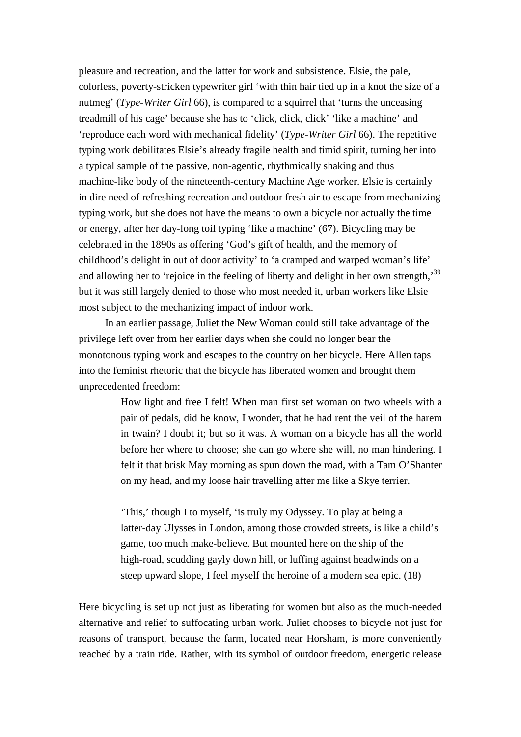pleasure and recreation, and the latter for work and subsistence. Elsie, the pale, colorless, poverty-stricken typewriter girl 'with thin hair tied up in a knot the size of a nutmeg' (*Type-Writer Girl* 66), is compared to a squirrel that 'turns the unceasing treadmill of his cage' because she has to 'click, click, click' 'like a machine' and 'reproduce each word with mechanical fidelity' (*Type-Writer Girl* 66). The repetitive typing work debilitates Elsie's already fragile health and timid spirit, turning her into a typical sample of the passive, non-agentic, rhythmically shaking and thus machine-like body of the nineteenth-century Machine Age worker. Elsie is certainly in dire need of refreshing recreation and outdoor fresh air to escape from mechanizing typing work, but she does not have the means to own a bicycle nor actually the time or energy, after her day-long toil typing 'like a machine' (67). Bicycling may be celebrated in the 1890s as offering 'God's gift of health, and the memory of childhood's delight in out of door activity' to 'a cramped and warped woman's life' and allowing her to 'rejoice in the feeling of liberty and delight in her own strength,<sup>39</sup> but it was still largely denied to those who most needed it, urban workers like Elsie most subject to the mechanizing impact of indoor work.

In an earlier passage, Juliet the New Woman could still take advantage of the privilege left over from her earlier days when she could no longer bear the monotonous typing work and escapes to the country on her bicycle. Here Allen taps into the feminist rhetoric that the bicycle has liberated women and brought them unprecedented freedom:

> How light and free I felt! When man first set woman on two wheels with a pair of pedals, did he know, I wonder, that he had rent the veil of the harem in twain? I doubt it; but so it was. A woman on a bicycle has all the world before her where to choose; she can go where she will, no man hindering. I felt it that brisk May morning as spun down the road, with a Tam O'Shanter on my head, and my loose hair travelling after me like a Skye terrier.

'This,' though I to myself, 'is truly my Odyssey. To play at being a latter-day Ulysses in London, among those crowded streets, is like a child's game, too much make-believe. But mounted here on the ship of the high-road, scudding gayly down hill, or luffing against headwinds on a steep upward slope, I feel myself the heroine of a modern sea epic. (18)

Here bicycling is set up not just as liberating for women but also as the much-needed alternative and relief to suffocating urban work. Juliet chooses to bicycle not just for reasons of transport, because the farm, located near Horsham, is more conveniently reached by a train ride. Rather, with its symbol of outdoor freedom, energetic release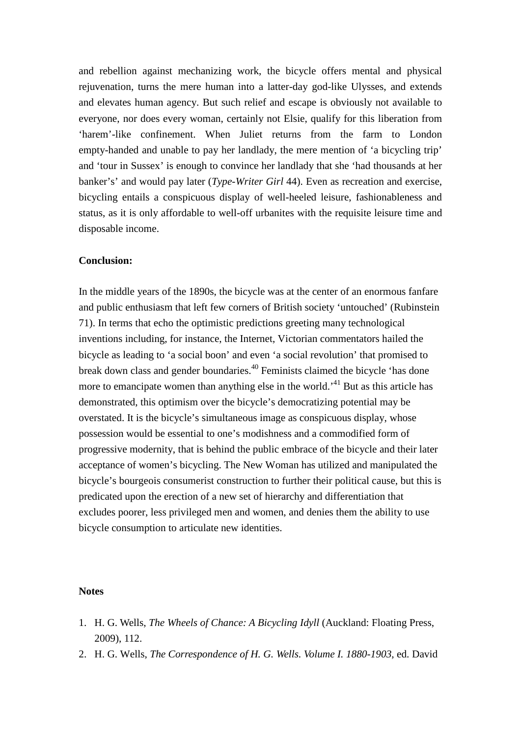and rebellion against mechanizing work, the bicycle offers mental and physical rejuvenation, turns the mere human into a latter-day god-like Ulysses, and extends and elevates human agency. But such relief and escape is obviously not available to everyone, nor does every woman, certainly not Elsie, qualify for this liberation from 'harem'-like confinement. When Juliet returns from the farm to London empty-handed and unable to pay her landlady, the mere mention of 'a bicycling trip' and 'tour in Sussex' is enough to convince her landlady that she 'had thousands at her banker's' and would pay later (*Type-Writer Girl* 44). Even as recreation and exercise, bicycling entails a conspicuous display of well-heeled leisure, fashionableness and status, as it is only affordable to well-off urbanites with the requisite leisure time and disposable income.

### **Conclusion:**

In the middle years of the 1890s, the bicycle was at the center of an enormous fanfare and public enthusiasm that left few corners of British society 'untouched' (Rubinstein 71). In terms that echo the optimistic predictions greeting many technological inventions including, for instance, the Internet, Victorian commentators hailed the bicycle as leading to 'a social boon' and even 'a social revolution' that promised to break down class and gender boundaries.40 Feminists claimed the bicycle 'has done more to emancipate women than anything else in the world.<sup>41</sup> But as this article has demonstrated, this optimism over the bicycle's democratizing potential may be overstated. It is the bicycle's simultaneous image as conspicuous display, whose possession would be essential to one's modishness and a commodified form of progressive modernity, that is behind the public embrace of the bicycle and their later acceptance of women's bicycling. The New Woman has utilized and manipulated the bicycle's bourgeois consumerist construction to further their political cause, but this is predicated upon the erection of a new set of hierarchy and differentiation that excludes poorer, less privileged men and women, and denies them the ability to use bicycle consumption to articulate new identities.

# **Notes**

- 1. H. G. Wells, *The Wheels of Chance: A Bicycling Idyll* (Auckland: Floating Press, 2009), 112.
- 2. H. G. Wells, *The Correspondence of H. G. Wells. Volume I. 1880-1903*, ed. David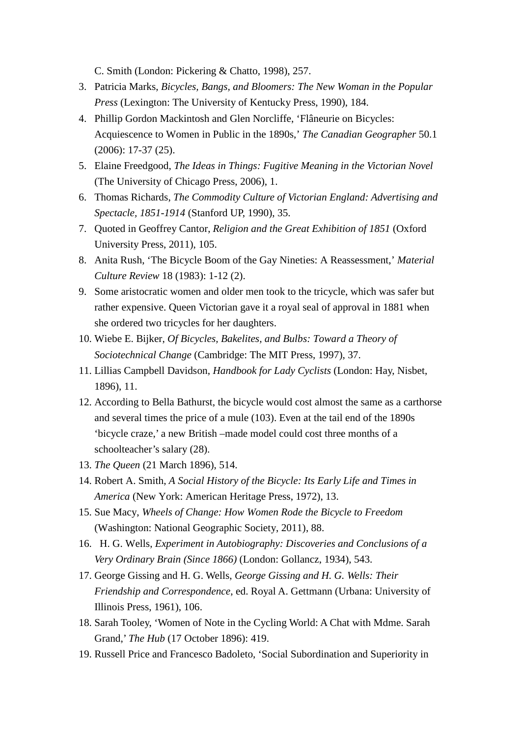C. Smith (London: Pickering & Chatto, 1998), 257.

- 3. Patricia Marks, *Bicycles, Bangs, and Bloomers: The New Woman in the Popular Press* (Lexington: The University of Kentucky Press, 1990), 184.
- 4. Phillip Gordon Mackintosh and Glen Norcliffe, 'Flâneurie on Bicycles: Acquiescence to Women in Public in the 1890s,' *The Canadian Geographer* 50.1 (2006): 17-37 (25).
- 5. Elaine Freedgood, *The Ideas in Things: Fugitive Meaning in the Victorian Novel* (The University of Chicago Press, 2006), 1.
- 6. Thomas Richards, *The Commodity Culture of Victorian England: Advertising and Spectacle, 1851-1914* (Stanford UP, 1990), 35.
- 7. Quoted in Geoffrey Cantor, *[Religion and the Great Exhibition of 1851](http://www.oxfordscholarship.com/view/10.1093/acprof:oso/9780199596676.001.0001/acprof-9780199596676)* (Oxford University Press, 2011), 105.
- 8. Anita Rush, 'The Bicycle Boom of the Gay Nineties: A Reassessment,' *Material Culture Review* 18 (1983): 1-12 (2).
- 9. Some aristocratic women and older men took to the tricycle, which was safer but rather expensive. Queen Victorian gave it a royal seal of approval in 1881 when she ordered two tricycles for her daughters.
- 10. Wiebe E. Bijker, *Of Bicycles, Bakelites, and Bulbs: Toward a Theory of Sociotechnical Change* (Cambridge: The MIT Press, 1997), 37.
- 11. Lillias Campbell Davidson, *Handbook for Lady Cyclists* (London: Hay, Nisbet, 1896), 11.
- 12. According to Bella Bathurst, the bicycle would cost almost the same as a carthorse and several times the price of a mule (103). Even at the tail end of the 1890s 'bicycle craze,' a new British –made model could cost three months of a schoolteacher's salary (28).
- 13. *The Queen* (21 March 1896), 514.
- 14. Robert A. Smith, *A Social History of the Bicycle: Its Early Life and Times in America* (New York: American Heritage Press, 1972), 13.
- 15. Sue Macy, *Wheels of Change: How Women Rode the Bicycle to Freedom* (Washington: National Geographic Society, 2011), 88.
- 16. H. G. Wells, *Experiment in Autobiography: Discoveries and Conclusions of a Very Ordinary Brain (Since 1866)* (London: Gollancz, 1934), 543.
- 17. George Gissing and H. G. Wells, *George Gissing and H. G. Wells: Their Friendship and Correspondence*, ed. Royal A. Gettmann (Urbana: University of Illinois Press, 1961), 106.
- 18. Sarah Tooley, 'Women of Note in the Cycling World: A Chat with Mdme. Sarah Grand,' *The Hub* (17 October 1896): 419.
- 19. Russell Price and Francesco Badoleto, 'Social Subordination and Superiority in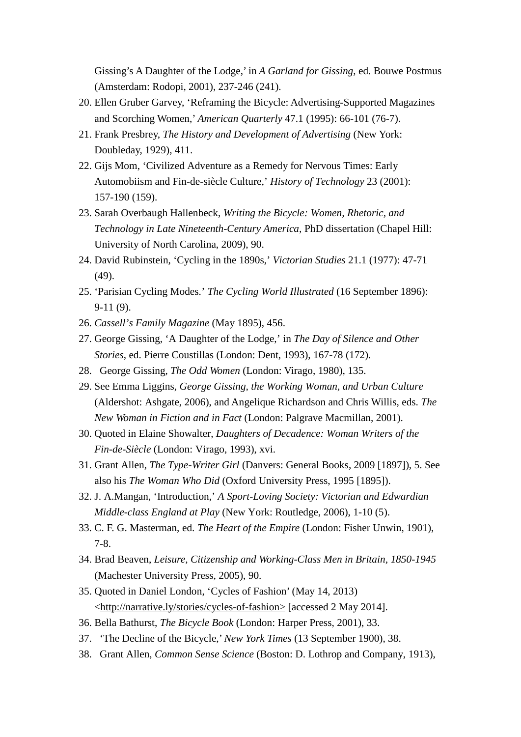Gissing's A Daughter of the Lodge,' in *A Garland for Gissing*, ed. Bouwe Postmus (Amsterdam: Rodopi, 2001), 237-246 (241).

- 20. Ellen Gruber Garvey, 'Reframing the Bicycle: Advertising-Supported Magazines and Scorching Women,' *American Quarterly* 47.1 (1995): 66-101 (76-7).
- 21. Frank Presbrey, *The History and Development of Advertising* (New York: Doubleday, 1929), 411.
- 22. Gijs Mom, 'Civilized Adventure as a Remedy for Nervous Times: Early Automobiism and Fin-de-siècle Culture,' *History of Technology* 23 (2001): 157-190 (159).
- 23. Sarah Overbaugh Hallenbeck, *Writing the Bicycle: Women, Rhetoric, and Technology in Late Nineteenth-Century America,* PhD dissertation (Chapel Hill: University of North Carolina, 2009), 90.
- 24. David Rubinstein, 'Cycling in the 1890s,' *Victorian Studies* 21.1 (1977): 47-71 (49).
- 25. 'Parisian Cycling Modes.' *The Cycling World Illustrated* (16 September 1896): 9-11 (9).
- 26. *Cassell's Family Magazine* (May 1895), 456.
- 27. George Gissing, 'A Daughter of the Lodge,' in *The Day of Silence and Other Stories*, ed. Pierre Coustillas (London: Dent, 1993), 167-78 (172).
- 28. George Gissing, *The Odd Women* (London: Virago, 1980), 135.
- 29. See Emma Liggins, *George Gissing, the Working Woman, and Urban Culture* (Aldershot: Ashgate, 2006), and Angelique Richardson and Chris Willis, eds. *The New Woman in Fiction and in Fact* (London: Palgrave Macmillan, 2001).
- 30. Quoted in Elaine Showalter, *Daughters of Decadence: Woman Writers of the Fin-de-Siècle* (London: Virago, 1993), xvi.
- 31. Grant Allen, *The Type-Writer Girl* (Danvers: General Books, 2009 [1897]), 5. See also his *The Woman Who Did* (Oxford University Press, 1995 [1895]).
- 32. J. A.Mangan, 'Introduction,' *A Sport-Loving Society: Victorian and Edwardian Middle-class England at Play* (New York: Routledge, 2006), 1-10 (5).
- 33. C. F. G. Masterman, ed. *The Heart of the Empire* (London: Fisher Unwin, 1901), 7-8.
- 34. Brad Beaven, *Leisure, Citizenship and Working-Class Men in Britain, 1850-1945* (Machester University Press, 2005), 90.
- 35. Quoted in Daniel London, 'Cycles of Fashion' (May 14, 2013) [<http://narrative.ly/stories/cycles-of-fashion>](http://narrative.ly/stories/cycles-of-fashion) [accessed 2 May 2014].
- 36. Bella Bathurst, *The Bicycle Book* (London: Harper Press, 2001), 33.
- 37. 'The Decline of the Bicycle,' *New York Times* (13 September 1900), 38.
- 38. Grant Allen, *Common Sense Science* (Boston: D. Lothrop and Company, 1913),